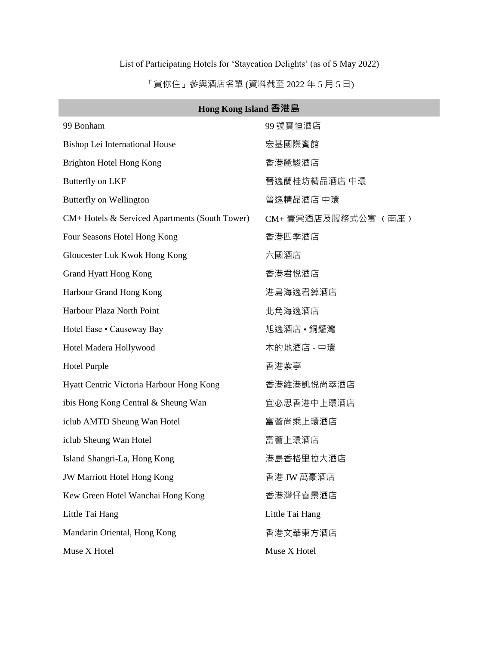## List of Participating Hotels for 'Staycation Delights' (as of 5 May 2022)

「賞你住」參與酒店名單 (資料截至 2022 年 5 月 5 日)

| Hong Kong Island 香港島                           |                     |  |
|------------------------------------------------|---------------------|--|
| 99 Bonham                                      | 99號寶恒酒店             |  |
| Bishop Lei International House                 | 宏基國際賓館              |  |
| Brighton Hotel Hong Kong                       | 香港麗駿酒店              |  |
| Butterfly on LKF                               | 晉逸蘭桂坊精品酒店 中環        |  |
| Butterfly on Wellington                        | 晉逸精品酒店 中環           |  |
| CM+ Hotels & Serviced Apartments (South Tower) | CM+ 壹棠酒店及服務式公寓 (南座) |  |
| Four Seasons Hotel Hong Kong                   | 香港四季酒店              |  |
| Gloucester Luk Kwok Hong Kong                  | 六國酒店                |  |
| <b>Grand Hyatt Hong Kong</b>                   | 香港君悅酒店              |  |
| Harbour Grand Hong Kong                        | 港島海逸君綽酒店            |  |
| Harbour Plaza North Point                      | 北角海逸酒店              |  |
| Hotel Ease . Causeway Bay                      | 旭逸酒店 • 銅鑼灣          |  |
| Hotel Madera Hollywood                         | 木的地酒店 - 中環          |  |
| <b>Hotel Purple</b>                            | 香港紫亭                |  |
| Hyatt Centric Victoria Harbour Hong Kong       | 香港維港凱悅尚萃酒店          |  |
| ibis Hong Kong Central & Sheung Wan            | 宜必思香港中上環酒店          |  |
| iclub AMTD Sheung Wan Hotel                    | 富薈尚乘上環酒店            |  |
| iclub Sheung Wan Hotel                         | 富薈上環酒店              |  |
| Island Shangri-La, Hong Kong                   | 港島香格里拉大酒店           |  |
| <b>JW Marriott Hotel Hong Kong</b>             | 香港 JW 萬豪酒店          |  |
| Kew Green Hotel Wanchai Hong Kong              | 香港灣仔睿景酒店            |  |
| Little Tai Hang                                | Little Tai Hang     |  |
| Mandarin Oriental, Hong Kong                   | 香港文華東方酒店            |  |
| Muse X Hotel                                   | Muse X Hotel        |  |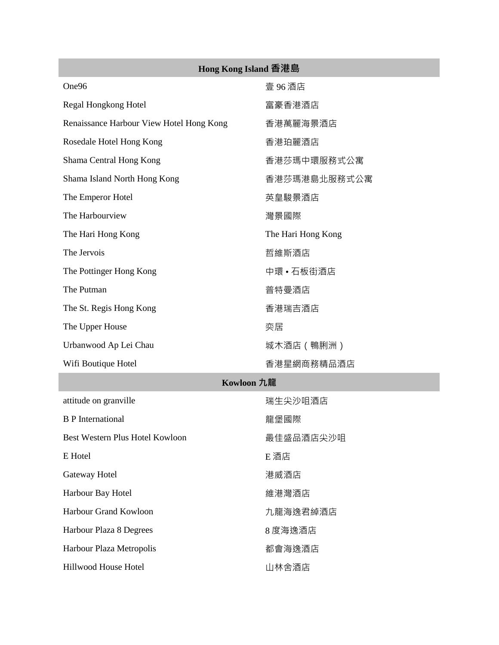| Hong Kong Island 香港島                     |                    |
|------------------------------------------|--------------------|
| One96                                    | 壹 96 酒店            |
| Regal Hongkong Hotel                     | 富豪香港酒店             |
| Renaissance Harbour View Hotel Hong Kong | 香港萬麗海景酒店           |
| Rosedale Hotel Hong Kong                 | 香港珀麗酒店             |
| Shama Central Hong Kong                  | 香港莎瑪中環服務式公寓        |
| Shama Island North Hong Kong             | 香港莎瑪港島北服務式公寓       |
| The Emperor Hotel                        | 英皇駿景酒店             |
| The Harbourview                          | 灣景國際               |
| The Hari Hong Kong                       | The Hari Hong Kong |
| The Jervois                              | 哲維斯酒店              |
| The Pottinger Hong Kong                  | 中環 • 石板街酒店         |
| The Putman                               | 普特曼酒店              |
| The St. Regis Hong Kong                  | 香港瑞吉酒店             |
| The Upper House                          | 奕居                 |
| Urbanwood Ap Lei Chau                    | 城木酒店(鴨脷洲)          |
| Wifi Boutique Hotel                      | 香港星網商務精品酒店         |
| Kowloon 九龍                               |                    |
| attitude on granville                    | 瑞生尖沙咀酒店            |
| <b>B</b> P International                 | 龍堡國際               |
| Best Western Plus Hotel Kowloon          | 最佳盛品酒店尖沙咀          |
| E Hotel                                  | E 酒店               |
| Gateway Hotel                            | 港威酒店               |
| Harbour Bay Hotel                        | 維港灣酒店              |
| Harbour Grand Kowloon                    | 九龍海逸君綽酒店           |
| Harbour Plaza 8 Degrees                  | 8 度海逸酒店            |
| Harbour Plaza Metropolis                 | 都會海逸酒店             |
| Hillwood House Hotel                     | 山林舍酒店              |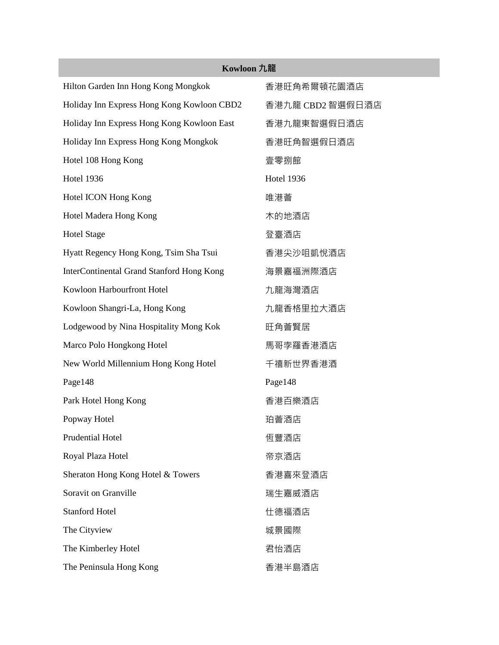| Kowloon 九龍                                 |                   |  |
|--------------------------------------------|-------------------|--|
| Hilton Garden Inn Hong Kong Mongkok        | 香港旺角希爾頓花園酒店       |  |
| Holiday Inn Express Hong Kong Kowloon CBD2 | 香港九龍 CBD2 智選假日酒店  |  |
| Holiday Inn Express Hong Kong Kowloon East | 香港九龍東智選假日酒店       |  |
| Holiday Inn Express Hong Kong Mongkok      | 香港旺角智選假日酒店        |  |
| Hotel 108 Hong Kong                        | 壹零捌館              |  |
| <b>Hotel 1936</b>                          | <b>Hotel 1936</b> |  |
| Hotel ICON Hong Kong                       | 唯港薈               |  |
| Hotel Madera Hong Kong                     | 木的地酒店             |  |
| <b>Hotel Stage</b>                         | 登臺酒店              |  |
| Hyatt Regency Hong Kong, Tsim Sha Tsui     | 香港尖沙咀凱悅酒店         |  |
| InterContinental Grand Stanford Hong Kong  | 海景嘉福洲際酒店          |  |
| Kowloon Harbourfront Hotel                 | 九龍海灣酒店            |  |
| Kowloon Shangri-La, Hong Kong              | 九龍香格里拉大酒店         |  |
| Lodgewood by Nina Hospitality Mong Kok     | 旺角薈賢居             |  |
| Marco Polo Hongkong Hotel                  | 馬哥孛羅香港酒店          |  |
| New World Millennium Hong Kong Hotel       | 千禧新世界香港酒          |  |
| Page148                                    | Page148           |  |
| Park Hotel Hong Kong                       | 香港百樂酒店            |  |
| Popway Hotel                               | 珀薈酒店              |  |
| <b>Prudential Hotel</b>                    | 恆豐酒店              |  |
| Royal Plaza Hotel                          | 帝京酒店              |  |
| Sheraton Hong Kong Hotel & Towers          | 香港喜來登酒店           |  |
| Soravit on Granville                       | 瑞生嘉威酒店            |  |
| <b>Stanford Hotel</b>                      | 仕德福酒店             |  |
| The Cityview                               | 城景國際              |  |
| The Kimberley Hotel                        | 君怡酒店              |  |
| The Peninsula Hong Kong                    | 香港半島酒店            |  |